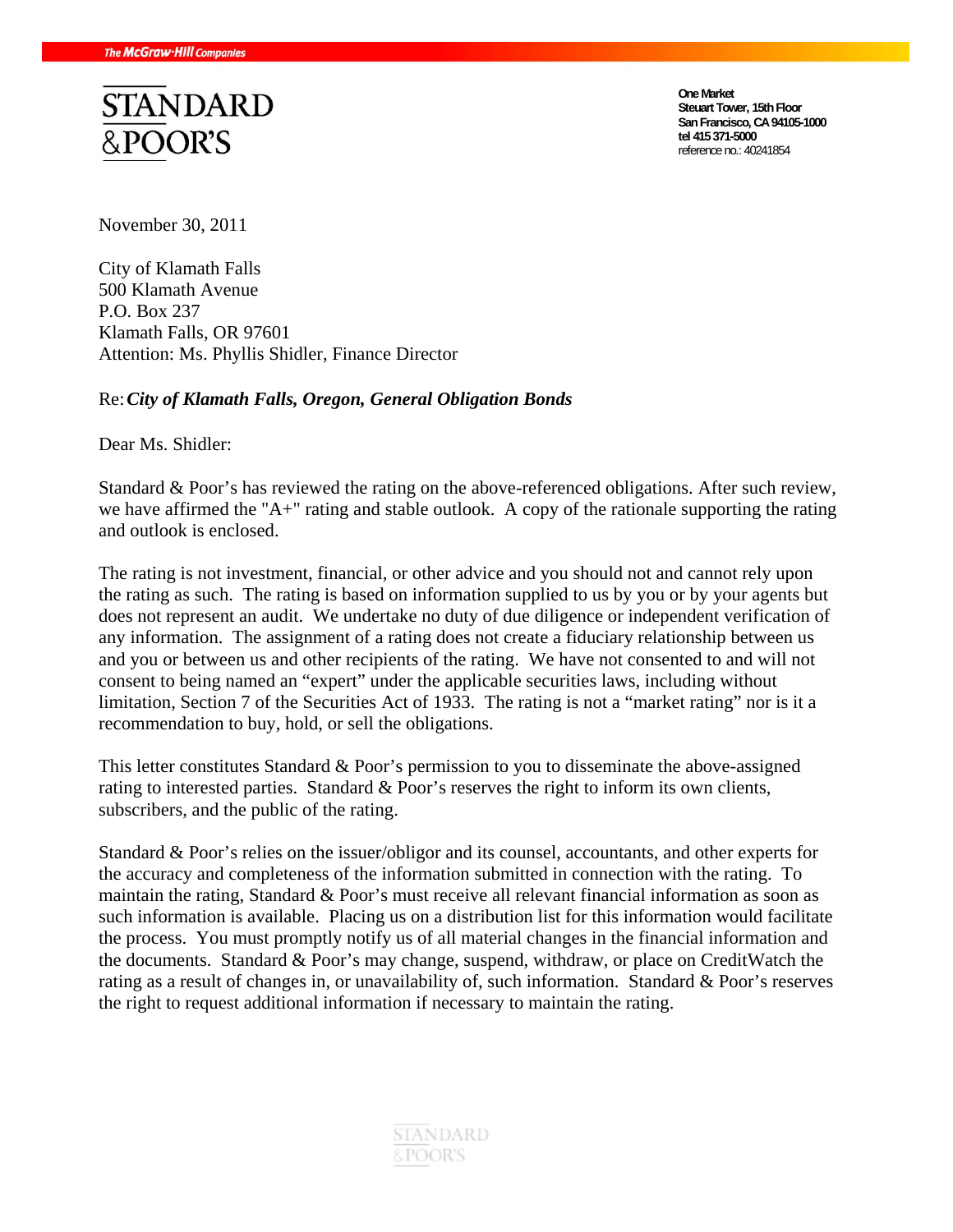

**One Market Steuart Tower, 15th Floor San Francisco, CA 94105-1000 tel 415 371-5000**  reference no.: 40241854

November 30, 2011

City of Klamath Falls 500 Klamath Avenue P.O. Box 237 Klamath Falls, OR 97601 Attention: Ms. Phyllis Shidler, Finance Director

#### Re: *City of Klamath Falls, Oregon, General Obligation Bonds*

Dear Ms. Shidler:

Standard & Poor's has reviewed the rating on the above-referenced obligations. After such review, we have affirmed the "A+" rating and stable outlook. A copy of the rationale supporting the rating and outlook is enclosed.

The rating is not investment, financial, or other advice and you should not and cannot rely upon the rating as such. The rating is based on information supplied to us by you or by your agents but does not represent an audit. We undertake no duty of due diligence or independent verification of any information. The assignment of a rating does not create a fiduciary relationship between us and you or between us and other recipients of the rating. We have not consented to and will not consent to being named an "expert" under the applicable securities laws, including without limitation, Section 7 of the Securities Act of 1933. The rating is not a "market rating" nor is it a recommendation to buy, hold, or sell the obligations.

This letter constitutes Standard & Poor's permission to you to disseminate the above-assigned rating to interested parties. Standard & Poor's reserves the right to inform its own clients, subscribers, and the public of the rating.

Standard & Poor's relies on the issuer/obligor and its counsel, accountants, and other experts for the accuracy and completeness of the information submitted in connection with the rating. To maintain the rating, Standard & Poor's must receive all relevant financial information as soon as such information is available. Placing us on a distribution list for this information would facilitate the process. You must promptly notify us of all material changes in the financial information and the documents. Standard & Poor's may change, suspend, withdraw, or place on CreditWatch the rating as a result of changes in, or unavailability of, such information. Standard & Poor's reserves the right to request additional information if necessary to maintain the rating.

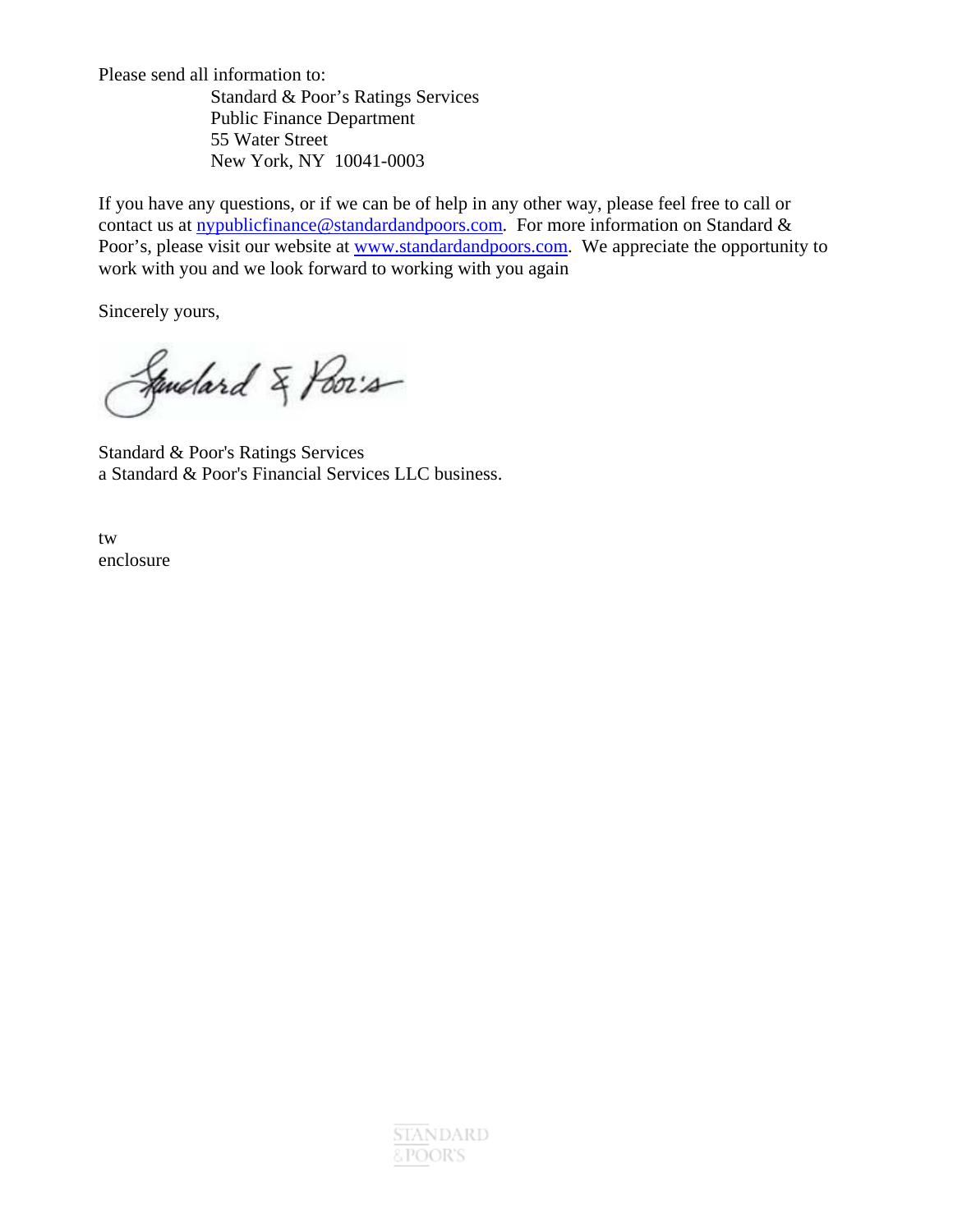Please send all information to:

 Standard & Poor's Ratings Services Public Finance Department 55 Water Street New York, NY 10041-0003

If you have any questions, or if we can be of help in any other way, please feel free to call or contact us at nypublicfinance@standardandpoors.com. For more information on Standard & Poor's, please visit our website at www.standardandpoors.com. We appreciate the opportunity to work with you and we look forward to working with you again

Sincerely yours,

Sandard & Poor's

Standard & Poor's Ratings Services a Standard & Poor's Financial Services LLC business.

tw enclosure

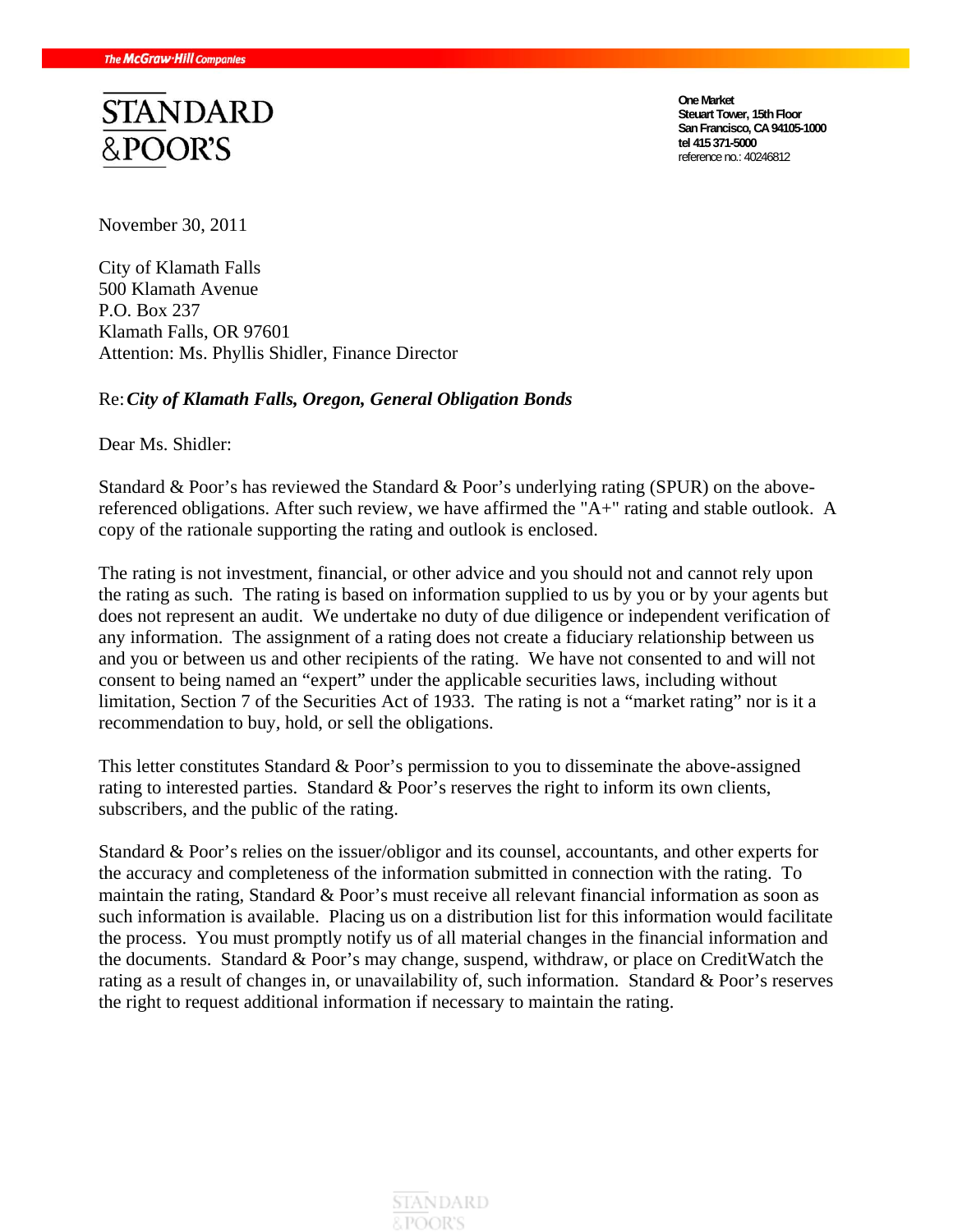# **STANDARD** &POOR'S

**One Market Steuart Tower, 15th Floor San Francisco, CA 94105-1000 tel 415 371-5000**  reference no.: 40246812

November 30, 2011

City of Klamath Falls 500 Klamath Avenue P.O. Box 237 Klamath Falls, OR 97601 Attention: Ms. Phyllis Shidler, Finance Director

#### Re: *City of Klamath Falls, Oregon, General Obligation Bonds*

Dear Ms. Shidler:

Standard & Poor's has reviewed the Standard & Poor's underlying rating (SPUR) on the abovereferenced obligations. After such review, we have affirmed the "A+" rating and stable outlook. A copy of the rationale supporting the rating and outlook is enclosed.

The rating is not investment, financial, or other advice and you should not and cannot rely upon the rating as such. The rating is based on information supplied to us by you or by your agents but does not represent an audit. We undertake no duty of due diligence or independent verification of any information. The assignment of a rating does not create a fiduciary relationship between us and you or between us and other recipients of the rating. We have not consented to and will not consent to being named an "expert" under the applicable securities laws, including without limitation, Section 7 of the Securities Act of 1933. The rating is not a "market rating" nor is it a recommendation to buy, hold, or sell the obligations.

This letter constitutes Standard & Poor's permission to you to disseminate the above-assigned rating to interested parties. Standard & Poor's reserves the right to inform its own clients, subscribers, and the public of the rating.

Standard & Poor's relies on the issuer/obligor and its counsel, accountants, and other experts for the accuracy and completeness of the information submitted in connection with the rating. To maintain the rating, Standard & Poor's must receive all relevant financial information as soon as such information is available. Placing us on a distribution list for this information would facilitate the process. You must promptly notify us of all material changes in the financial information and the documents. Standard & Poor's may change, suspend, withdraw, or place on CreditWatch the rating as a result of changes in, or unavailability of, such information. Standard & Poor's reserves the right to request additional information if necessary to maintain the rating.

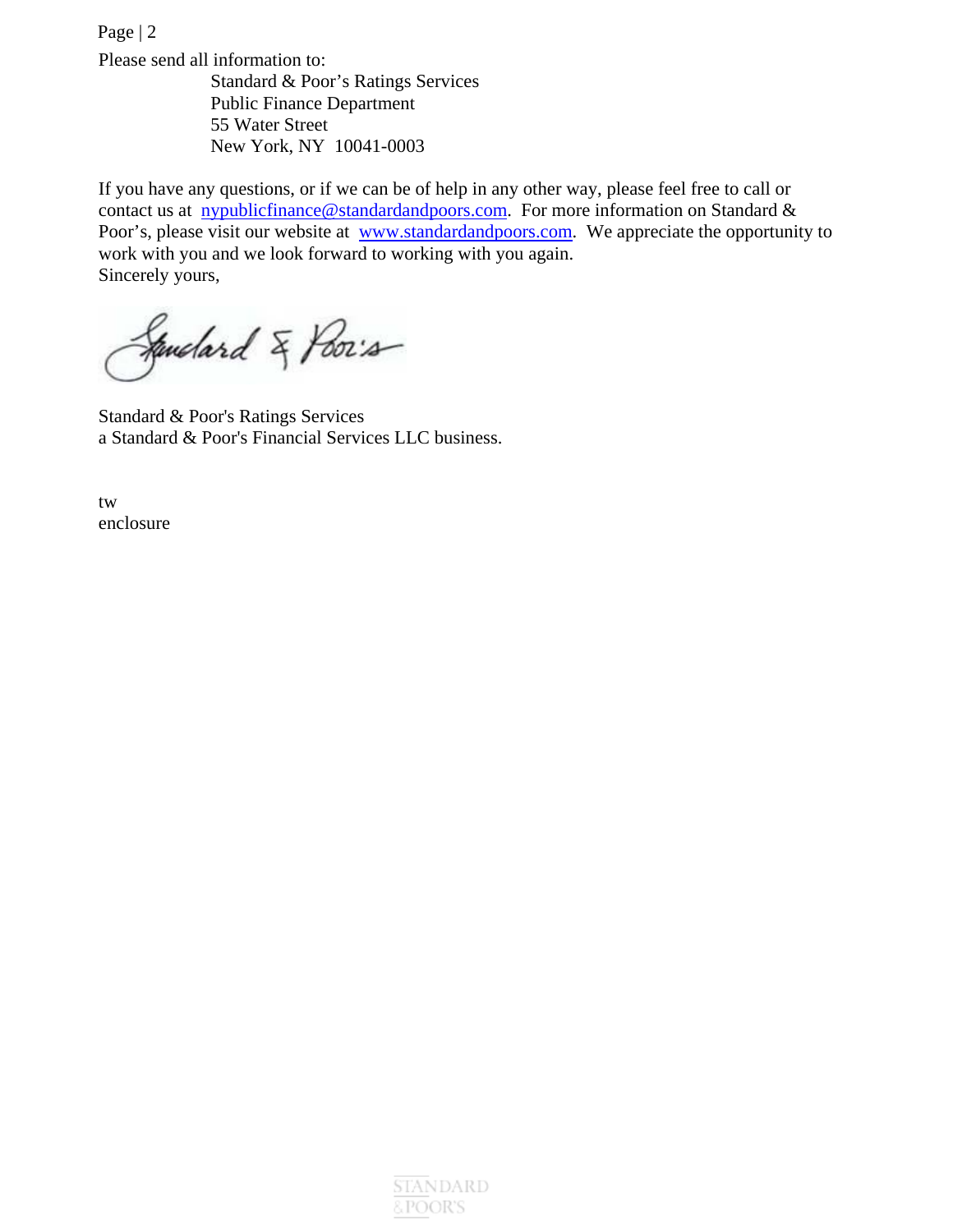Page | 2 Please send all information to: Standard & Poor's Ratings Services Public Finance Department 55 Water Street New York, NY 10041-0003

If you have any questions, or if we can be of help in any other way, please feel free to call or contact us at nypublicfinance@standardandpoors.com. For more information on Standard  $\&$ Poor's, please visit our website at www.standardandpoors.com. We appreciate the opportunity to work with you and we look forward to working with you again. Sincerely yours,

Sandard & Poor's

Standard & Poor's Ratings Services a Standard & Poor's Financial Services LLC business.

tw enclosure

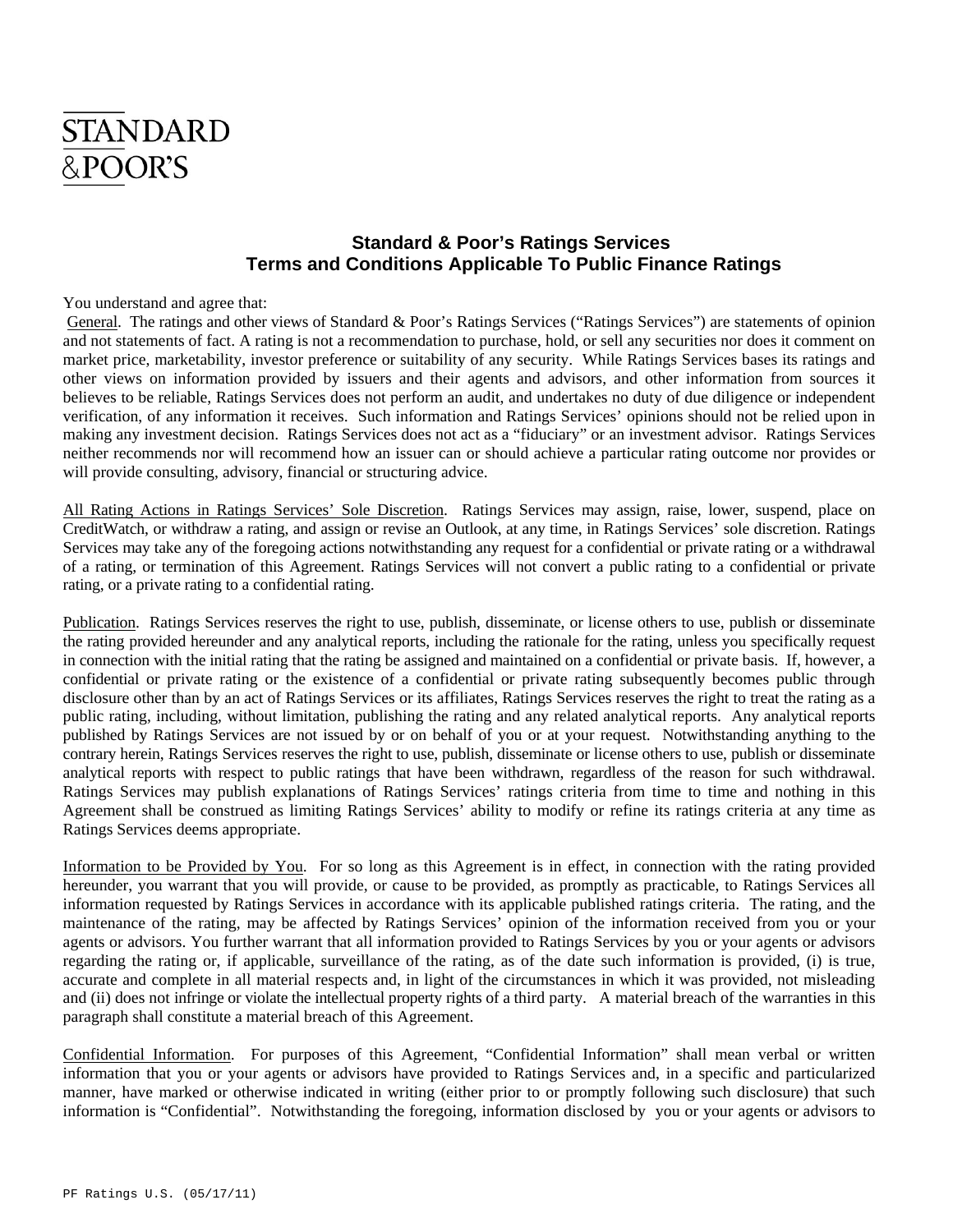## **STANDARD** &POOR'S

### **Standard & Poor's Ratings Services Terms and Conditions Applicable To Public Finance Ratings**

You understand and agree that:

 General. The ratings and other views of Standard & Poor's Ratings Services ("Ratings Services") are statements of opinion and not statements of fact. A rating is not a recommendation to purchase, hold, or sell any securities nor does it comment on market price, marketability, investor preference or suitability of any security. While Ratings Services bases its ratings and other views on information provided by issuers and their agents and advisors, and other information from sources it believes to be reliable, Ratings Services does not perform an audit, and undertakes no duty of due diligence or independent verification, of any information it receives. Such information and Ratings Services' opinions should not be relied upon in making any investment decision. Ratings Services does not act as a "fiduciary" or an investment advisor. Ratings Services neither recommends nor will recommend how an issuer can or should achieve a particular rating outcome nor provides or will provide consulting, advisory, financial or structuring advice.

All Rating Actions in Ratings Services' Sole Discretion. Ratings Services may assign, raise, lower, suspend, place on CreditWatch, or withdraw a rating, and assign or revise an Outlook, at any time, in Ratings Services' sole discretion. Ratings Services may take any of the foregoing actions notwithstanding any request for a confidential or private rating or a withdrawal of a rating, or termination of this Agreement. Ratings Services will not convert a public rating to a confidential or private rating, or a private rating to a confidential rating.

Publication. Ratings Services reserves the right to use, publish, disseminate, or license others to use, publish or disseminate the rating provided hereunder and any analytical reports, including the rationale for the rating, unless you specifically request in connection with the initial rating that the rating be assigned and maintained on a confidential or private basis. If, however, a confidential or private rating or the existence of a confidential or private rating subsequently becomes public through disclosure other than by an act of Ratings Services or its affiliates, Ratings Services reserves the right to treat the rating as a public rating, including, without limitation, publishing the rating and any related analytical reports. Any analytical reports published by Ratings Services are not issued by or on behalf of you or at your request. Notwithstanding anything to the contrary herein, Ratings Services reserves the right to use, publish, disseminate or license others to use, publish or disseminate analytical reports with respect to public ratings that have been withdrawn, regardless of the reason for such withdrawal. Ratings Services may publish explanations of Ratings Services' ratings criteria from time to time and nothing in this Agreement shall be construed as limiting Ratings Services' ability to modify or refine its ratings criteria at any time as Ratings Services deems appropriate.

Information to be Provided by You. For so long as this Agreement is in effect, in connection with the rating provided hereunder, you warrant that you will provide, or cause to be provided, as promptly as practicable, to Ratings Services all information requested by Ratings Services in accordance with its applicable published ratings criteria. The rating, and the maintenance of the rating, may be affected by Ratings Services' opinion of the information received from you or your agents or advisors. You further warrant that all information provided to Ratings Services by you or your agents or advisors regarding the rating or, if applicable, surveillance of the rating, as of the date such information is provided, (i) is true, accurate and complete in all material respects and, in light of the circumstances in which it was provided, not misleading and (ii) does not infringe or violate the intellectual property rights of a third party. A material breach of the warranties in this paragraph shall constitute a material breach of this Agreement.

Confidential Information. For purposes of this Agreement, "Confidential Information" shall mean verbal or written information that you or your agents or advisors have provided to Ratings Services and, in a specific and particularized manner, have marked or otherwise indicated in writing (either prior to or promptly following such disclosure) that such information is "Confidential". Notwithstanding the foregoing, information disclosed by you or your agents or advisors to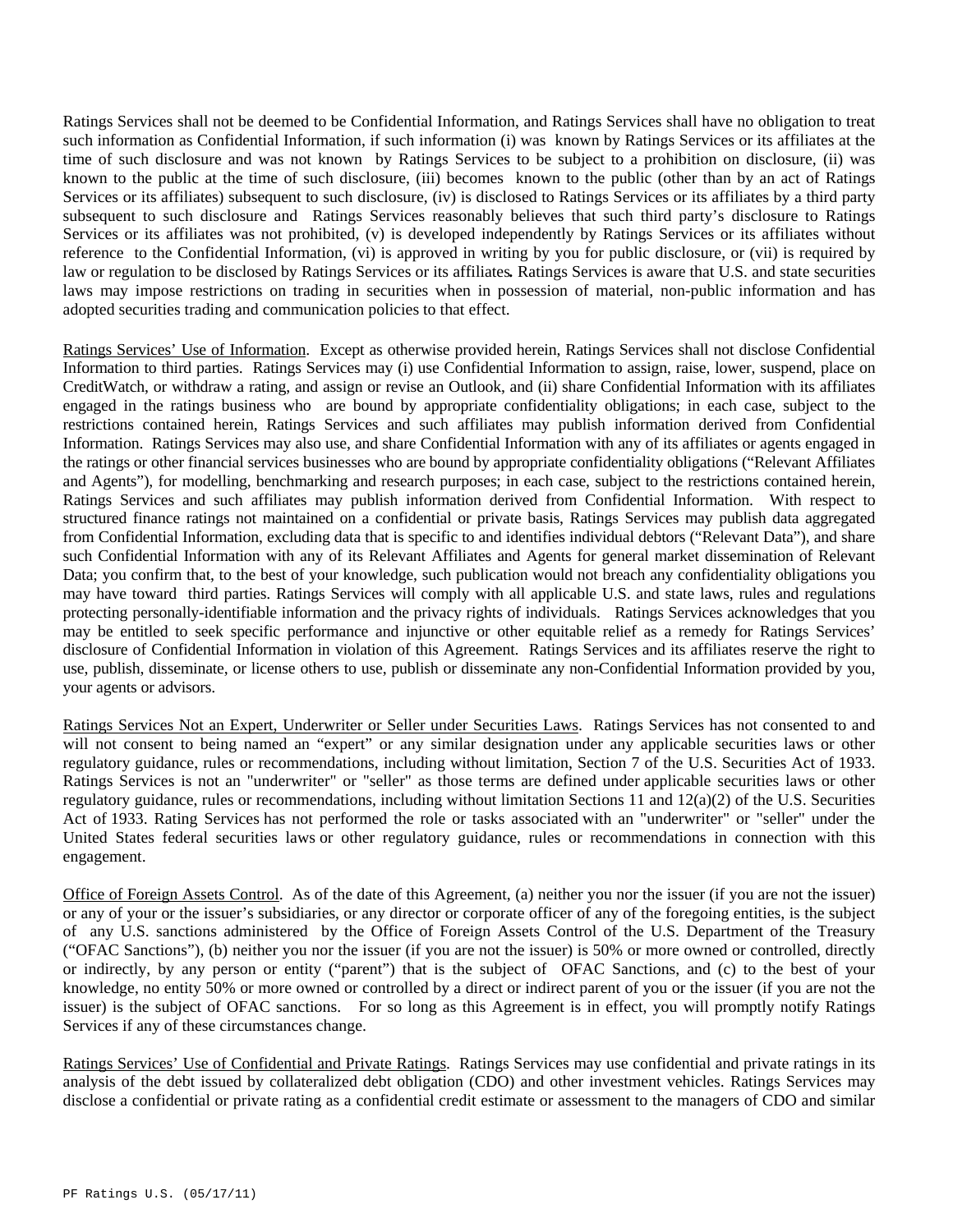Ratings Services shall not be deemed to be Confidential Information, and Ratings Services shall have no obligation to treat such information as Confidential Information, if such information (i) was known by Ratings Services or its affiliates at the time of such disclosure and was not known by Ratings Services to be subject to a prohibition on disclosure, (ii) was known to the public at the time of such disclosure, (iii) becomes known to the public (other than by an act of Ratings Services or its affiliates) subsequent to such disclosure, (iv) is disclosed to Ratings Services or its affiliates by a third party subsequent to such disclosure and Ratings Services reasonably believes that such third party's disclosure to Ratings Services or its affiliates was not prohibited, (v) is developed independently by Ratings Services or its affiliates without reference to the Confidential Information, (vi) is approved in writing by you for public disclosure, or (vii) is required by law or regulation to be disclosed by Ratings Services or its affiliates*.* Ratings Services is aware that U.S. and state securities laws may impose restrictions on trading in securities when in possession of material, non-public information and has adopted securities trading and communication policies to that effect.

Ratings Services' Use of Information. Except as otherwise provided herein, Ratings Services shall not disclose Confidential Information to third parties. Ratings Services may (i) use Confidential Information to assign, raise, lower, suspend, place on CreditWatch, or withdraw a rating, and assign or revise an Outlook, and (ii) share Confidential Information with its affiliates engaged in the ratings business who are bound by appropriate confidentiality obligations; in each case, subject to the restrictions contained herein, Ratings Services and such affiliates may publish information derived from Confidential Information. Ratings Services may also use, and share Confidential Information with any of its affiliates or agents engaged in the ratings or other financial services businesses who are bound by appropriate confidentiality obligations ("Relevant Affiliates and Agents"), for modelling, benchmarking and research purposes; in each case, subject to the restrictions contained herein, Ratings Services and such affiliates may publish information derived from Confidential Information. With respect to structured finance ratings not maintained on a confidential or private basis, Ratings Services may publish data aggregated from Confidential Information, excluding data that is specific to and identifies individual debtors ("Relevant Data"), and share such Confidential Information with any of its Relevant Affiliates and Agents for general market dissemination of Relevant Data; you confirm that, to the best of your knowledge, such publication would not breach any confidentiality obligations you may have toward third parties. Ratings Services will comply with all applicable U.S. and state laws, rules and regulations protecting personally-identifiable information and the privacy rights of individuals. Ratings Services acknowledges that you may be entitled to seek specific performance and injunctive or other equitable relief as a remedy for Ratings Services' disclosure of Confidential Information in violation of this Agreement. Ratings Services and its affiliates reserve the right to use, publish, disseminate, or license others to use, publish or disseminate any non-Confidential Information provided by you, your agents or advisors.

Ratings Services Not an Expert, Underwriter or Seller under Securities Laws. Ratings Services has not consented to and will not consent to being named an "expert" or any similar designation under any applicable securities laws or other regulatory guidance, rules or recommendations, including without limitation, Section 7 of the U.S. Securities Act of 1933. Ratings Services is not an "underwriter" or "seller" as those terms are defined under applicable securities laws or other regulatory guidance, rules or recommendations, including without limitation Sections 11 and 12(a)(2) of the U.S. Securities Act of 1933. Rating Services has not performed the role or tasks associated with an "underwriter" or "seller" under the United States federal securities laws or other regulatory guidance, rules or recommendations in connection with this engagement.

Office of Foreign Assets Control. As of the date of this Agreement, (a) neither you nor the issuer (if you are not the issuer) or any of your or the issuer's subsidiaries, or any director or corporate officer of any of the foregoing entities, is the subject of any U.S. sanctions administered by the Office of Foreign Assets Control of the U.S. Department of the Treasury ("OFAC Sanctions"), (b) neither you nor the issuer (if you are not the issuer) is 50% or more owned or controlled, directly or indirectly, by any person or entity ("parent") that is the subject of OFAC Sanctions, and (c) to the best of your knowledge, no entity 50% or more owned or controlled by a direct or indirect parent of you or the issuer (if you are not the issuer) is the subject of OFAC sanctions. For so long as this Agreement is in effect, you will promptly notify Ratings Services if any of these circumstances change.

Ratings Services' Use of Confidential and Private Ratings. Ratings Services may use confidential and private ratings in its analysis of the debt issued by collateralized debt obligation (CDO) and other investment vehicles. Ratings Services may disclose a confidential or private rating as a confidential credit estimate or assessment to the managers of CDO and similar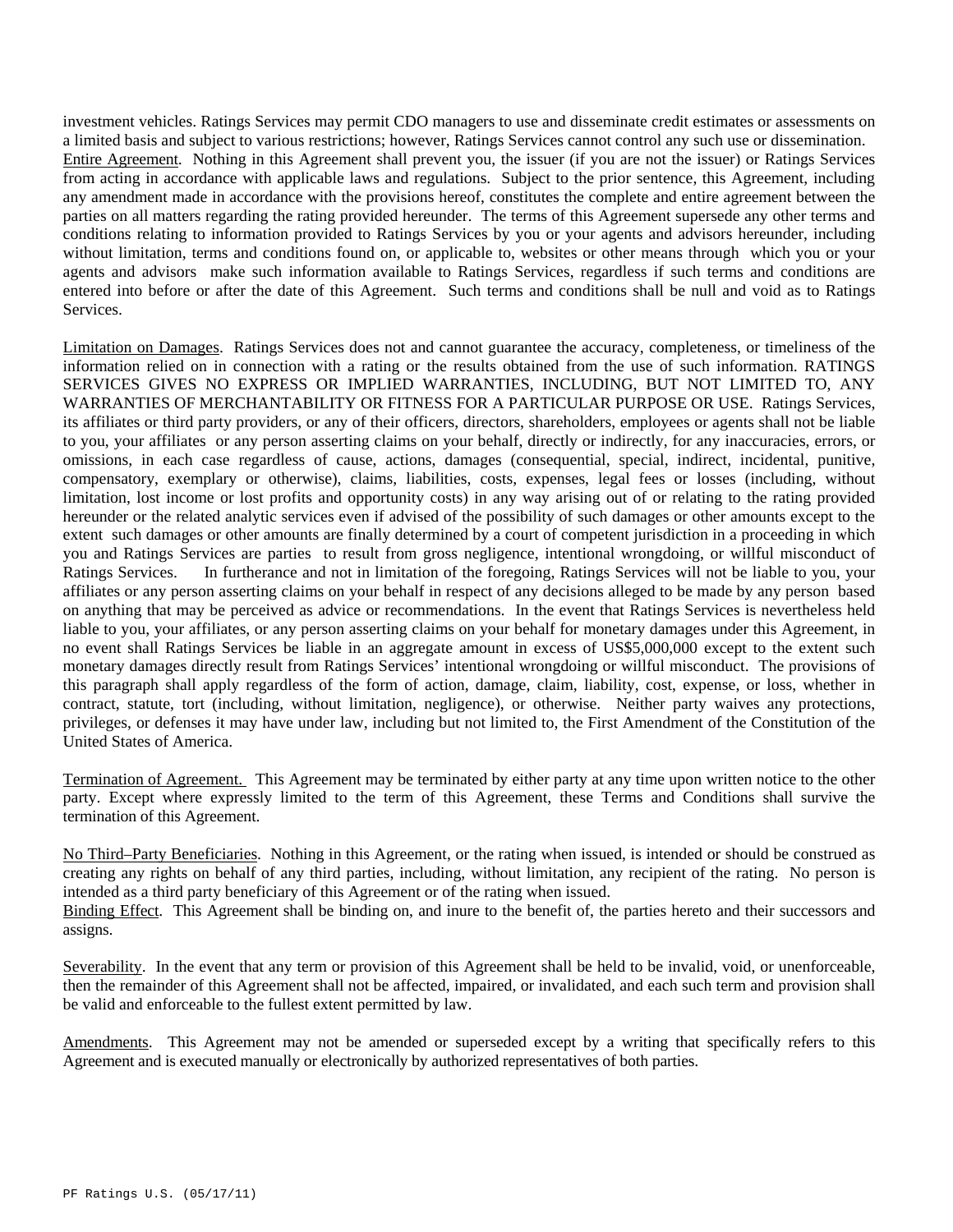investment vehicles. Ratings Services may permit CDO managers to use and disseminate credit estimates or assessments on a limited basis and subject to various restrictions; however, Ratings Services cannot control any such use or dissemination. Entire Agreement. Nothing in this Agreement shall prevent you, the issuer (if you are not the issuer) or Ratings Services from acting in accordance with applicable laws and regulations. Subject to the prior sentence, this Agreement, including any amendment made in accordance with the provisions hereof, constitutes the complete and entire agreement between the parties on all matters regarding the rating provided hereunder. The terms of this Agreement supersede any other terms and conditions relating to information provided to Ratings Services by you or your agents and advisors hereunder, including without limitation, terms and conditions found on, or applicable to, websites or other means through which you or your agents and advisors make such information available to Ratings Services, regardless if such terms and conditions are entered into before or after the date of this Agreement. Such terms and conditions shall be null and void as to Ratings Services.

Limitation on Damages. Ratings Services does not and cannot guarantee the accuracy, completeness, or timeliness of the information relied on in connection with a rating or the results obtained from the use of such information. RATINGS SERVICES GIVES NO EXPRESS OR IMPLIED WARRANTIES, INCLUDING, BUT NOT LIMITED TO, ANY WARRANTIES OF MERCHANTABILITY OR FITNESS FOR A PARTICULAR PURPOSE OR USE. Ratings Services, its affiliates or third party providers, or any of their officers, directors, shareholders, employees or agents shall not be liable to you, your affiliates or any person asserting claims on your behalf, directly or indirectly, for any inaccuracies, errors, or omissions, in each case regardless of cause, actions, damages (consequential, special, indirect, incidental, punitive, compensatory, exemplary or otherwise), claims, liabilities, costs, expenses, legal fees or losses (including, without limitation, lost income or lost profits and opportunity costs) in any way arising out of or relating to the rating provided hereunder or the related analytic services even if advised of the possibility of such damages or other amounts except to the extent such damages or other amounts are finally determined by a court of competent jurisdiction in a proceeding in which you and Ratings Services are parties to result from gross negligence, intentional wrongdoing, or willful misconduct of Ratings Services. In furtherance and not in limitation of the foregoing, Ratings Services will not be liable to you, your affiliates or any person asserting claims on your behalf in respect of any decisions alleged to be made by any person based on anything that may be perceived as advice or recommendations. In the event that Ratings Services is nevertheless held liable to you, your affiliates, or any person asserting claims on your behalf for monetary damages under this Agreement, in no event shall Ratings Services be liable in an aggregate amount in excess of US\$5,000,000 except to the extent such monetary damages directly result from Ratings Services' intentional wrongdoing or willful misconduct. The provisions of this paragraph shall apply regardless of the form of action, damage, claim, liability, cost, expense, or loss, whether in contract, statute, tort (including, without limitation, negligence), or otherwise. Neither party waives any protections, privileges, or defenses it may have under law, including but not limited to, the First Amendment of the Constitution of the United States of America.

Termination of Agreement. This Agreement may be terminated by either party at any time upon written notice to the other party. Except where expressly limited to the term of this Agreement, these Terms and Conditions shall survive the termination of this Agreement.

No Third–Party Beneficiaries. Nothing in this Agreement, or the rating when issued, is intended or should be construed as creating any rights on behalf of any third parties, including, without limitation, any recipient of the rating. No person is intended as a third party beneficiary of this Agreement or of the rating when issued.

Binding Effect. This Agreement shall be binding on, and inure to the benefit of, the parties hereto and their successors and assigns.

Severability. In the event that any term or provision of this Agreement shall be held to be invalid, void, or unenforceable, then the remainder of this Agreement shall not be affected, impaired, or invalidated, and each such term and provision shall be valid and enforceable to the fullest extent permitted by law.

Amendments. This Agreement may not be amended or superseded except by a writing that specifically refers to this Agreement and is executed manually or electronically by authorized representatives of both parties.